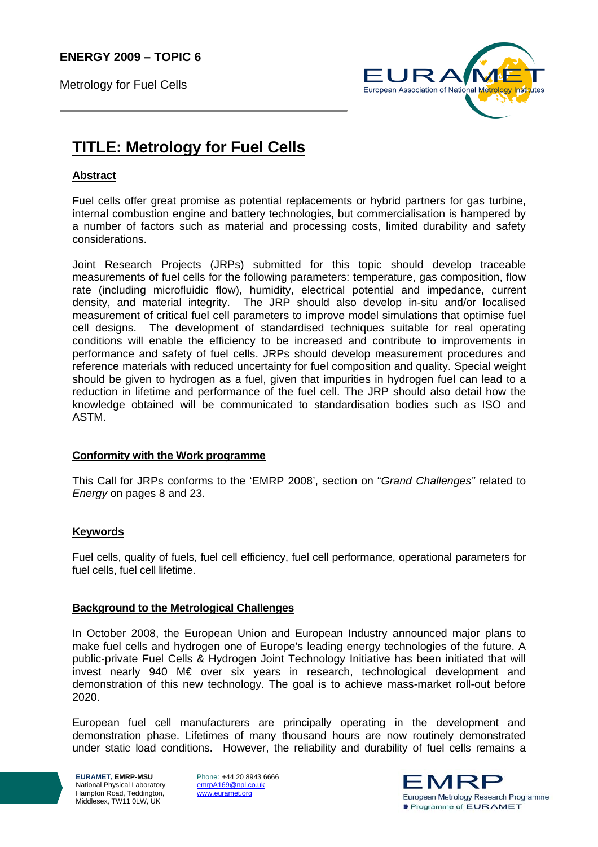**ENERGY 2009 – TOPIC 6** 

Metrology for Fuel Cells



# **TITLE: Metrology for Fuel Cells**

## **Abstract**

Fuel cells offer great promise as potential replacements or hybrid partners for gas turbine, internal combustion engine and battery technologies, but commercialisation is hampered by a number of factors such as material and processing costs, limited durability and safety considerations.

Joint Research Projects (JRPs) submitted for this topic should develop traceable measurements of fuel cells for the following parameters: temperature, gas composition, flow rate (including microfluidic flow), humidity, electrical potential and impedance, current density, and material integrity. The JRP should also develop in-situ and/or localised measurement of critical fuel cell parameters to improve model simulations that optimise fuel cell designs. The development of standardised techniques suitable for real operating conditions will enable the efficiency to be increased and contribute to improvements in performance and safety of fuel cells. JRPs should develop measurement procedures and reference materials with reduced uncertainty for fuel composition and quality. Special weight should be given to hydrogen as a fuel, given that impurities in hydrogen fuel can lead to a reduction in lifetime and performance of the fuel cell. The JRP should also detail how the knowledge obtained will be communicated to standardisation bodies such as ISO and ASTM.

#### **Conformity with the Work programme**

This Call for JRPs conforms to the 'EMRP 2008', section on "*Grand Challenges"* related to *Energy* on pages 8 and 23.

## **Keywords**

Fuel cells, quality of fuels, fuel cell efficiency, fuel cell performance, operational parameters for fuel cells, fuel cell lifetime.

#### **Background to the Metrological Challenges**

In October 2008, the European Union and European Industry announced major plans to make fuel cells and hydrogen one of Europe's leading energy technologies of the future. A public-private Fuel Cells & Hydrogen Joint Technology Initiative has been initiated that will invest nearly 940 M€ over six years in research, technological development and demonstration of this new technology. The goal is to achieve mass-market roll-out before 2020.

European fuel cell manufacturers are principally operating in the development and demonstration phase. Lifetimes of many thousand hours are now routinely demonstrated under static load conditions. However, the reliability and durability of fuel cells remains a

**EURAMET, EMRP-MSU**  National Physical Laboratory Hampton Road, Teddington, Middlesex, TW11 0LW, UK

Phone: +44 20 8943 6666 emrpA169@npl.co.uk www.euramet.org

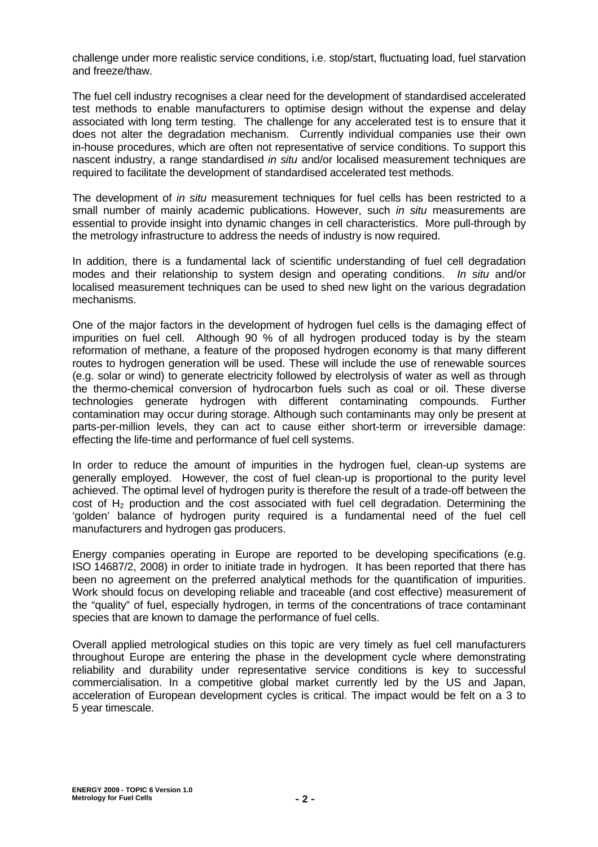challenge under more realistic service conditions, i.e. stop/start, fluctuating load, fuel starvation and freeze/thaw.

The fuel cell industry recognises a clear need for the development of standardised accelerated test methods to enable manufacturers to optimise design without the expense and delay associated with long term testing. The challenge for any accelerated test is to ensure that it does not alter the degradation mechanism. Currently individual companies use their own in-house procedures, which are often not representative of service conditions. To support this nascent industry, a range standardised *in situ* and/or localised measurement techniques are required to facilitate the development of standardised accelerated test methods.

The development of *in situ* measurement techniques for fuel cells has been restricted to a small number of mainly academic publications. However, such *in situ* measurements are essential to provide insight into dynamic changes in cell characteristics. More pull-through by the metrology infrastructure to address the needs of industry is now required.

In addition, there is a fundamental lack of scientific understanding of fuel cell degradation modes and their relationship to system design and operating conditions. *In situ* and/or localised measurement techniques can be used to shed new light on the various degradation mechanisms.

One of the major factors in the development of hydrogen fuel cells is the damaging effect of impurities on fuel cell. Although 90 % of all hydrogen produced today is by the steam reformation of methane, a feature of the proposed hydrogen economy is that many different routes to hydrogen generation will be used. These will include the use of renewable sources (e.g. solar or wind) to generate electricity followed by electrolysis of water as well as through the thermo-chemical conversion of hydrocarbon fuels such as coal or oil. These diverse technologies generate hydrogen with different contaminating compounds. Further contamination may occur during storage. Although such contaminants may only be present at parts-per-million levels, they can act to cause either short-term or irreversible damage: effecting the life-time and performance of fuel cell systems.

In order to reduce the amount of impurities in the hydrogen fuel, clean-up systems are generally employed. However, the cost of fuel clean-up is proportional to the purity level achieved. The optimal level of hydrogen purity is therefore the result of a trade-off between the cost of  $H_2$  production and the cost associated with fuel cell degradation. Determining the 'golden' balance of hydrogen purity required is a fundamental need of the fuel cell manufacturers and hydrogen gas producers.

Energy companies operating in Europe are reported to be developing specifications (e.g. ISO 14687/2, 2008) in order to initiate trade in hydrogen. It has been reported that there has been no agreement on the preferred analytical methods for the quantification of impurities. Work should focus on developing reliable and traceable (and cost effective) measurement of the "quality" of fuel, especially hydrogen, in terms of the concentrations of trace contaminant species that are known to damage the performance of fuel cells.

Overall applied metrological studies on this topic are very timely as fuel cell manufacturers throughout Europe are entering the phase in the development cycle where demonstrating reliability and durability under representative service conditions is key to successful commercialisation. In a competitive global market currently led by the US and Japan, acceleration of European development cycles is critical. The impact would be felt on a 3 to 5 year timescale.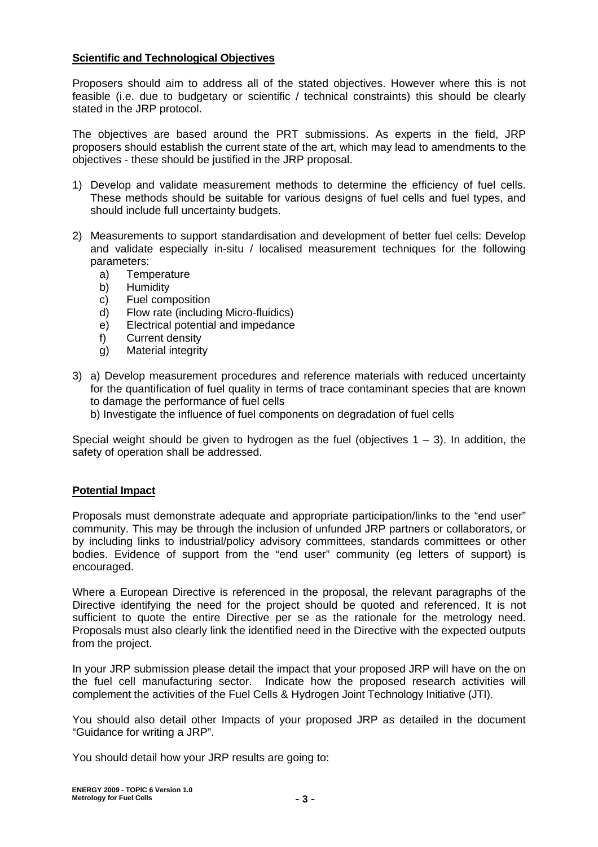## **Scientific and Technological Objectives**

Proposers should aim to address all of the stated objectives. However where this is not feasible (i.e. due to budgetary or scientific / technical constraints) this should be clearly stated in the JRP protocol.

The objectives are based around the PRT submissions. As experts in the field, JRP proposers should establish the current state of the art, which may lead to amendments to the objectives - these should be justified in the JRP proposal.

- 1) Develop and validate measurement methods to determine the efficiency of fuel cells. These methods should be suitable for various designs of fuel cells and fuel types, and should include full uncertainty budgets.
- 2) Measurements to support standardisation and development of better fuel cells: Develop and validate especially in-situ / localised measurement techniques for the following parameters:
	- a) Temperature
	- b) Humidity
	- c) Fuel composition
	- d) Flow rate (including Micro-fluidics)
	- e) Electrical potential and impedance
	- f) Current density
	- g) Material integrity
- 3) a) Develop measurement procedures and reference materials with reduced uncertainty for the quantification of fuel quality in terms of trace contaminant species that are known to damage the performance of fuel cells
	- b) Investigate the influence of fuel components on degradation of fuel cells

Special weight should be given to hydrogen as the fuel (objectives  $1 - 3$ ). In addition, the safety of operation shall be addressed.

## **Potential Impact**

Proposals must demonstrate adequate and appropriate participation/links to the "end user" community. This may be through the inclusion of unfunded JRP partners or collaborators, or by including links to industrial/policy advisory committees, standards committees or other bodies. Evidence of support from the "end user" community (eg letters of support) is encouraged.

Where a European Directive is referenced in the proposal, the relevant paragraphs of the Directive identifying the need for the project should be quoted and referenced. It is not sufficient to quote the entire Directive per se as the rationale for the metrology need. Proposals must also clearly link the identified need in the Directive with the expected outputs from the project.

In your JRP submission please detail the impact that your proposed JRP will have on the on the fuel cell manufacturing sector. Indicate how the proposed research activities will complement the activities of the Fuel Cells & Hydrogen Joint Technology Initiative (JTI).

You should also detail other Impacts of your proposed JRP as detailed in the document "Guidance for writing a JRP".

You should detail how your JRP results are going to: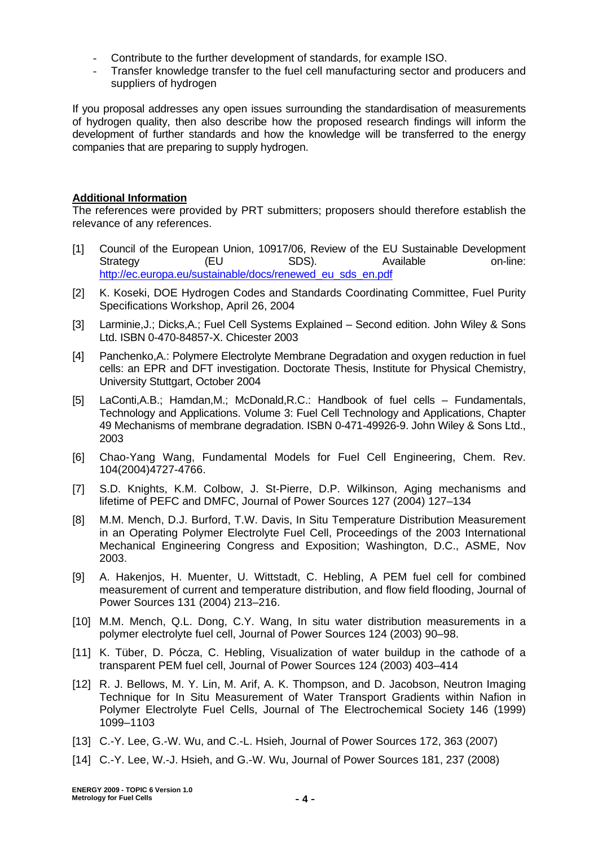- Contribute to the further development of standards, for example ISO.
- Transfer knowledge transfer to the fuel cell manufacturing sector and producers and suppliers of hydrogen

If you proposal addresses any open issues surrounding the standardisation of measurements of hydrogen quality, then also describe how the proposed research findings will inform the development of further standards and how the knowledge will be transferred to the energy companies that are preparing to supply hydrogen.

# **Additional Information**

The references were provided by PRT submitters; proposers should therefore establish the relevance of any references.

- [1] Council of the European Union, 10917/06, Review of the EU Sustainable Development Strategy (EU SDS). Available on-line: http://ec.europa.eu/sustainable/docs/renewed\_eu\_sds\_en.pdf
- [2] K. Koseki, DOE Hydrogen Codes and Standards Coordinating Committee, Fuel Purity Specifications Workshop, April 26, 2004
- [3] Larminie, J.; Dicks, A.; Fuel Cell Systems Explained Second edition. John Wiley & Sons Ltd. ISBN 0-470-84857-X. Chicester 2003
- [4] Panchenko,A.: Polymere Electrolyte Membrane Degradation and oxygen reduction in fuel cells: an EPR and DFT investigation. Doctorate Thesis, Institute for Physical Chemistry, University Stuttgart, October 2004
- [5] LaConti,A.B.; Hamdan,M.; McDonald,R.C.: Handbook of fuel cells Fundamentals, Technology and Applications. Volume 3: Fuel Cell Technology and Applications, Chapter 49 Mechanisms of membrane degradation. ISBN 0-471-49926-9. John Wiley & Sons Ltd., 2003
- [6] Chao-Yang Wang, Fundamental Models for Fuel Cell Engineering, Chem. Rev. 104(2004)4727-4766.
- [7] S.D. Knights, K.M. Colbow, J. St-Pierre, D.P. Wilkinson, Aging mechanisms and lifetime of PEFC and DMFC, Journal of Power Sources 127 (2004) 127–134
- [8] M.M. Mench, D.J. Burford, T.W. Davis, In Situ Temperature Distribution Measurement in an Operating Polymer Electrolyte Fuel Cell, Proceedings of the 2003 International Mechanical Engineering Congress and Exposition; Washington, D.C., ASME, Nov 2003.
- [9] A. Hakenjos, H. Muenter, U. Wittstadt, C. Hebling, A PEM fuel cell for combined measurement of current and temperature distribution, and flow field flooding, Journal of Power Sources 131 (2004) 213–216.
- [10] M.M. Mench, Q.L. Dong, C.Y. Wang, In situ water distribution measurements in a polymer electrolyte fuel cell, Journal of Power Sources 124 (2003) 90–98.
- [11] K. Tüber, D. Pócza, C. Hebling, Visualization of water buildup in the cathode of a transparent PEM fuel cell, Journal of Power Sources 124 (2003) 403–414
- [12] R. J. Bellows, M. Y. Lin, M. Arif, A. K. Thompson, and D. Jacobson, Neutron Imaging Technique for In Situ Measurement of Water Transport Gradients within Nafion in Polymer Electrolyte Fuel Cells, Journal of The Electrochemical Society 146 (1999) 1099–1103
- [13] C.-Y. Lee, G.-W. Wu, and C.-L. Hsieh, Journal of Power Sources 172, 363 (2007)
- [14] C.-Y. Lee, W.-J. Hsieh, and G.-W. Wu, Journal of Power Sources 181, 237 (2008)